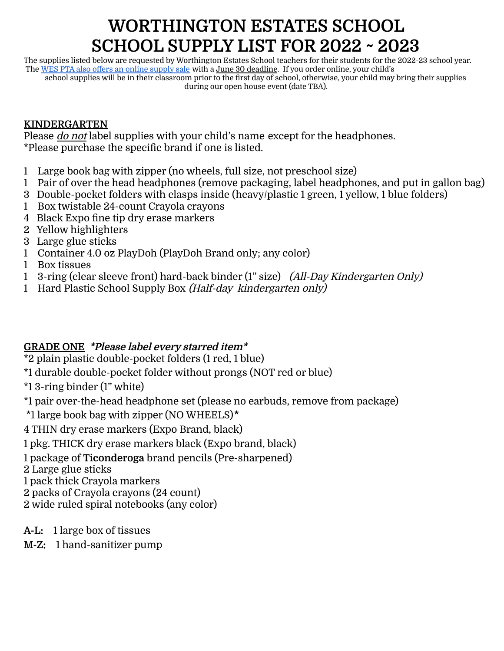# **WORTHINGTON ESTATES SCHOOL SCHOOL SUPPLY LIST FOR 2022 ~ 2023**

The supplies listed below are requested by Worthington Estates School teachers for their students for the 2022-23 school year. The WES PTA also offers an online [supply](https://1stdayschoolsupplies.com/kits.php?sid=84410) sale with a June 30 deadline. If you order online, your child's school supplies will be in their classroom prior to the first day of school, otherwise, your child may bring their supplies during our open house event (date TBA).

## **KINDERGARTEN**

Please *do not* label supplies with your child's name except for the headphones. \*Please purchase the specific brand if one is listed.

- 1 Large book bag with zipper (no wheels, full size, not preschool size)
- 1 Pair of over the head headphones (remove packaging, label headphones, and put in gallon bag)
- 3 Double-pocket folders with clasps inside (heavy/plastic 1 green, 1 yellow, 1 blue folders)
- 1 Box twistable 24-count Crayola crayons
- 4 Black Expo fine tip dry erase markers
- 2 Yellow highlighters
- 3 Large glue sticks
- 1 Container 4.0 oz PlayDoh (PlayDoh Brand only; any color)
- 1 Box tissues
- 1 3-ring (clear sleeve front) hard-back binder (1" size) (All-Day Kindergarten Only)
- 1 Hard Plastic School Supply Box (Half-day kindergarten only)

### **GRADE ONE \*Please label every starred item\***

 $\overline{2}$  plain plastic double-pocket folders (1 red, 1 blue)

\*1 durable double-pocket folder without prongs (NOT red or blue)

\*1 3-ring binder (1" white)

\*1 pair over-the-head headphone set (please no earbuds, remove from package)

\*1 large book bag with zipper (NO WHEELS)**\***

4 THIN dry erase markers (Expo Brand, black)

1 pkg. THICK dry erase markers black (Expo brand, black)

1 package of **Ticonderoga** brand pencils (Pre-sharpened)

2 Large glue sticks

1 pack thick Crayola markers

2 packs of Crayola crayons (24 count)

2 wide ruled spiral notebooks (any color)

### **A-L:** 1 large box of tissues

**M-Z:** 1 hand-sanitizer pump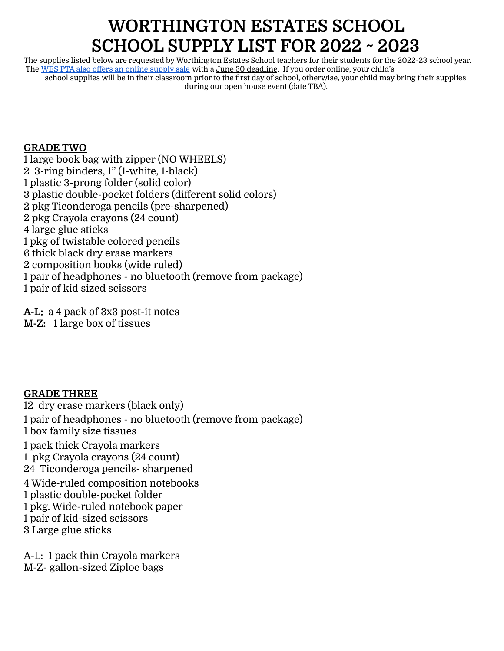## **WORTHINGTON ESTATES SCHOOL SCHOOL SUPPLY LIST FOR 2022 ~ 2023**

The supplies listed below are requested by Worthington Estates School teachers for their students for the 2022-23 school year. The WES PTA also offers an online [supply](https://1stdayschoolsupplies.com/kits.php?sid=84410) sale with a June 30 deadline. If you order online, your child's school supplies will be in their classroom prior to the first day of school, otherwise, your child may bring their supplies during our open house event (date TBA).

### **GRADE TWO**

 large book bag with zipper (NO WHEELS) 3-ring binders, 1" (1-white, 1-black) plastic 3-prong folder (solid color) plastic double-pocket folders (different solid colors) pkg Ticonderoga pencils (pre-sharpened) pkg Crayola crayons (24 count) large glue sticks pkg of twistable colored pencils thick black dry erase markers composition books (wide ruled) pair of headphones - no bluetooth (remove from package) pair of kid sized scissors

**A-L:** a 4 pack of 3x3 post-it notes **M-Z:** 1 large box of tissues

### **GRADE THREE**

 dry erase markers (black only) pair of headphones - no bluetooth (remove from package) box family size tissues pack thick Crayola markers pkg Crayola crayons (24 count) Ticonderoga pencils- sharpened Wide-ruled composition notebooks plastic double-pocket folder pkg. Wide-ruled notebook paper pair of kid-sized scissors Large glue sticks

A-L: 1 pack thin Crayola markers M-Z- gallon-sized Ziploc bags